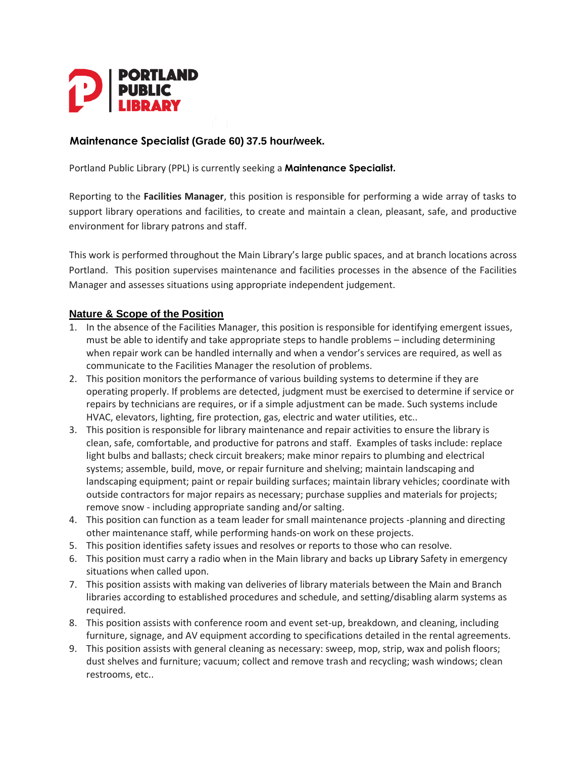

#### **Maintenance Specialist (Grade 60) 37.5 hour/week.**

Portland Public Library (PPL) is currently seeking a **Maintenance Specialist.**

Reporting to the **Facilities Manager**, this position is responsible for performing a wide array of tasks to support library operations and facilities, to create and maintain a clean, pleasant, safe, and productive environment for library patrons and staff.

This work is performed throughout the Main Library's large public spaces, and at branch locations across Portland. This position supervises maintenance and facilities processes in the absence of the Facilities Manager and assesses situations using appropriate independent judgement.

#### **Nature & Scope of the Position**

- 1. In the absence of the Facilities Manager, this position is responsible for identifying emergent issues, must be able to identify and take appropriate steps to handle problems – including determining when repair work can be handled internally and when a vendor's services are required, as well as communicate to the Facilities Manager the resolution of problems.
- 2. This position monitors the performance of various building systems to determine if they are operating properly. If problems are detected, judgment must be exercised to determine if service or repairs by technicians are requires, or if a simple adjustment can be made. Such systems include HVAC, elevators, lighting, fire protection, gas, electric and water utilities, etc..
- 3. This position is responsible for library maintenance and repair activities to ensure the library is clean, safe, comfortable, and productive for patrons and staff. Examples of tasks include: replace light bulbs and ballasts; check circuit breakers; make minor repairs to plumbing and electrical systems; assemble, build, move, or repair furniture and shelving; maintain landscaping and landscaping equipment; paint or repair building surfaces; maintain library vehicles; coordinate with outside contractors for major repairs as necessary; purchase supplies and materials for projects; remove snow - including appropriate sanding and/or salting.
- 4. This position can function as a team leader for small maintenance projects -planning and directing other maintenance staff, while performing hands-on work on these projects.
- 5. This position identifies safety issues and resolves or reports to those who can resolve.
- 6. This position must carry a radio when in the Main library and backs up Library Safety in emergency situations when called upon.
- 7. This position assists with making van deliveries of library materials between the Main and Branch libraries according to established procedures and schedule, and setting/disabling alarm systems as required.
- 8. This position assists with conference room and event set-up, breakdown, and cleaning, including furniture, signage, and AV equipment according to specifications detailed in the rental agreements.
- 9. This position assists with general cleaning as necessary: sweep, mop, strip, wax and polish floors; dust shelves and furniture; vacuum; collect and remove trash and recycling; wash windows; clean restrooms, etc..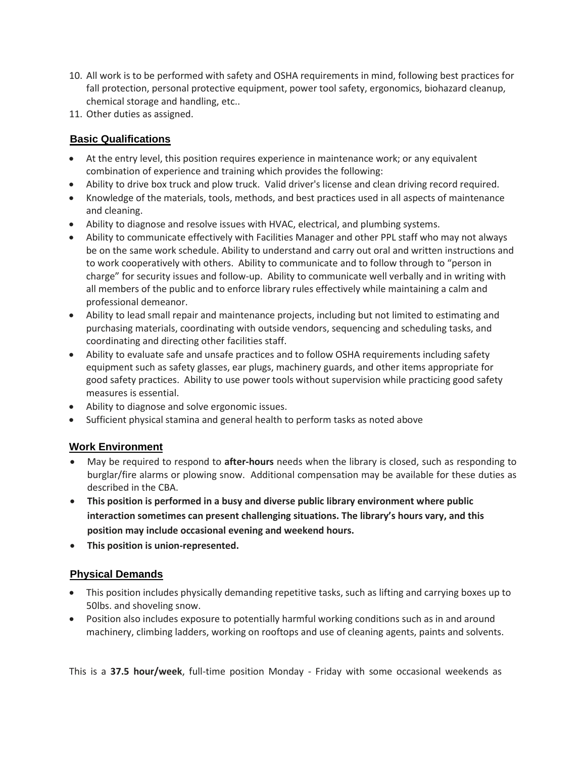- 10. All work is to be performed with safety and OSHA requirements in mind, following best practices for fall protection, personal protective equipment, power tool safety, ergonomics, biohazard cleanup, chemical storage and handling, etc..
- 11. Other duties as assigned.

# **Basic Qualifications**

- At the entry level, this position requires experience in maintenance work; or any equivalent combination of experience and training which provides the following:
- Ability to drive box truck and plow truck. Valid driver's license and clean driving record required.
- Knowledge of the materials, tools, methods, and best practices used in all aspects of maintenance and cleaning.
- Ability to diagnose and resolve issues with HVAC, electrical, and plumbing systems.
- Ability to communicate effectively with Facilities Manager and other PPL staff who may not always be on the same work schedule. Ability to understand and carry out oral and written instructions and to work cooperatively with others. Ability to communicate and to follow through to "person in charge" for security issues and follow-up. Ability to communicate well verbally and in writing with all members of the public and to enforce library rules effectively while maintaining a calm and professional demeanor.
- Ability to lead small repair and maintenance projects, including but not limited to estimating and purchasing materials, coordinating with outside vendors, sequencing and scheduling tasks, and coordinating and directing other facilities staff.
- Ability to evaluate safe and unsafe practices and to follow OSHA requirements including safety equipment such as safety glasses, ear plugs, machinery guards, and other items appropriate for good safety practices. Ability to use power tools without supervision while practicing good safety measures is essential.
- Ability to diagnose and solve ergonomic issues.
- Sufficient physical stamina and general health to perform tasks as noted above

## **Work Environment**

- May be required to respond to **after-hours** needs when the library is closed, such as responding to burglar/fire alarms or plowing snow. Additional compensation may be available for these duties as described in the CBA.
- **This position is performed in a busy and diverse public library environment where public interaction sometimes can present challenging situations. The library's hours vary, and this position may include occasional evening and weekend hours.**
- **This position is union-represented.**

## **Physical Demands**

- This position includes physically demanding repetitive tasks, such as lifting and carrying boxes up to 50lbs. and shoveling snow.
- Position also includes exposure to potentially harmful working conditions such as in and around machinery, climbing ladders, working on rooftops and use of cleaning agents, paints and solvents.

This is a **37.5 hour/week**, full-time position Monday - Friday with some occasional weekends as